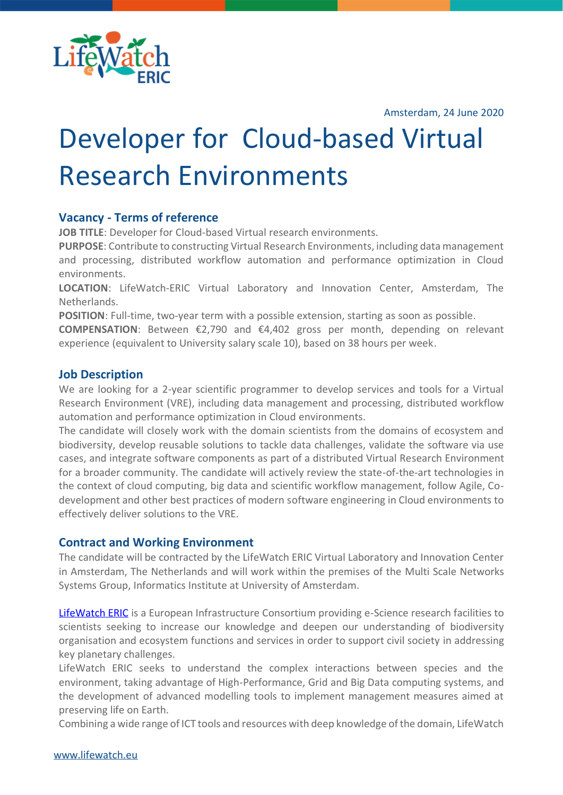

Amsterdam, 24 June 2020

# Developer for Cloud-based Virtual Research Environments

## **Vacancy - Terms of reference**

**JOB TITLE**: Developer for Cloud-based Virtual research environments.

**PURPOSE**: Contribute to constructing Virtual Research Environments, including data management and processing, distributed workflow automation and performance optimization in Cloud environments.

**LOCATION**: LifeWatch-ERIC Virtual Laboratory and Innovation Center, Amsterdam, The Netherlands.

**POSITION**: Full-time, two-year term with a possible extension, starting as soon as possible.

**COMPENSATION**: Between €2,790 and €4,402 gross per month, depending on relevant experience (equivalent to University salary scale 10), based on 38 hours per week.

## **Job Description**

We are looking for a 2-year scientific programmer to develop services and tools for a Virtual Research Environment (VRE), including data management and processing, distributed workflow automation and performance optimization in Cloud environments.

The candidate will closely work with the domain scientists from the domains of ecosystem and biodiversity, develop reusable solutions to tackle data challenges, validate the software via use cases, and integrate software components as part of a distributed Virtual Research Environment for a broader community. The candidate will actively review the state-of-the-art technologies in the context of cloud computing, big data and scientific workflow management, follow Agile, Codevelopment and other best practices of modern software engineering in Cloud environments to effectively deliver solutions to the VRE.

## **Contract and Working Environment**

The candidate will be contracted by the LifeWatch ERIC Virtual Laboratory and Innovation Center in Amsterdam, The Netherlands and will work within the premises of the Multi Scale Networks Systems Group, Informatics Institute at University of Amsterdam.

[LifeWatch ERIC](https://www.lifewatch.eu/) is a European Infrastructure Consortium providing e-Science research facilities to scientists seeking to increase our knowledge and deepen our understanding of biodiversity organisation and ecosystem functions and services in order to support civil society in addressing key planetary challenges.

LifeWatch ERIC seeks to understand the complex interactions between species and the environment, taking advantage of High-Performance, Grid and Big Data computing systems, and the development of advanced modelling tools to implement management measures aimed at preserving life on Earth.

Combining a wide range of ICT tools and resources with deep knowledge of the domain, LifeWatch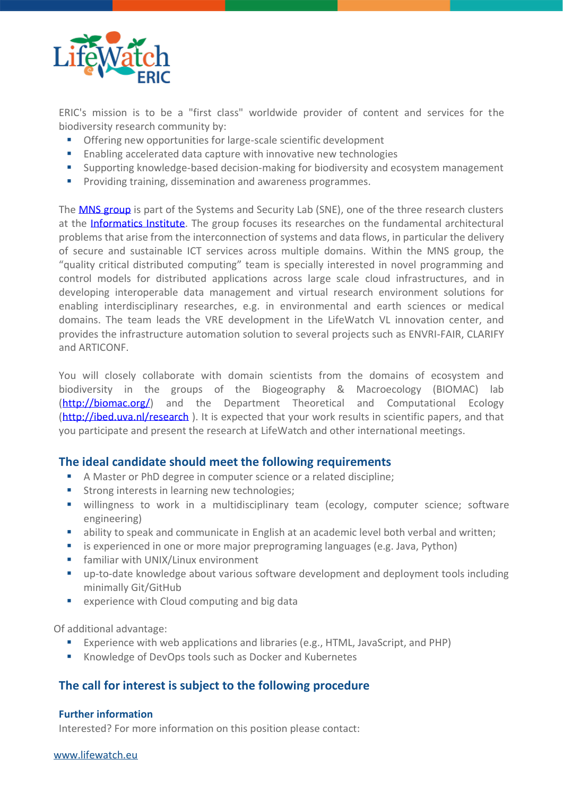

ERIC's mission is to be a "first class" worldwide provider of content and services for the biodiversity research community by:

- Offering new opportunities for large-scale scientific development
- Enabling accelerated data capture with innovative new technologies
- Supporting knowledge-based decision-making for biodiversity and ecosystem management
- Providing training, dissemination and awareness programmes.

The **[MNS group](https://mns-research.nl/)** is part of the Systems and Security Lab (SNE), one of the three research clusters at the [Informatics Institute.](https://ivi.uva.nl/) The group focuses its researches on the fundamental architectural problems that arise from the interconnection of systems and data flows, in particular the delivery of secure and sustainable ICT services across multiple domains. Within the MNS group, the "quality critical distributed computing" team is specially interested in novel programming and control models for distributed applications across large scale cloud infrastructures, and in developing interoperable data management and virtual research environment solutions for enabling interdisciplinary researches, e.g. in environmental and earth sciences or medical domains. The team leads the VRE development in the LifeWatch VL innovation center, and provides the infrastructure automation solution to several projects such as ENVRI-FAIR, CLARIFY and ARTICONF.

You will closely collaborate with domain scientists from the domains of ecosystem and biodiversity in the groups of the Biogeography & Macroecology (BIOMAC) lab [\(http://biomac.org/\)](http://biomac.org/) and the Department Theoretical and Computational Ecology [\(http://ibed.uva.nl/research](http://ibed.uva.nl/research)). It is expected that your work results in scientific papers, and that you participate and present the research at LifeWatch and other international meetings.

## **The ideal candidate should meet the following requirements**

- A Master or PhD degree in computer science or a related discipline;
- Strong interests in learning new technologies;
- willingness to work in a multidisciplinary team (ecology, computer science; software engineering)
- ability to speak and communicate in English at an academic level both verbal and written;
- is experienced in one or more major preprograming languages (e.g. Java, Python)
- **■** familiar with UNIX/Linux environment
- up-to-date knowledge about various software development and deployment tools including minimally Git/GitHub
- experience with Cloud computing and big data

Of additional advantage:

- Experience with web applications and libraries (e.g., HTML, JavaScript, and PHP)
- Knowledge of DevOps tools such as Docker and Kubernetes

## **The call for interest is subject to the following procedure**

#### **Further information**

Interested? For more information on this position please contact: